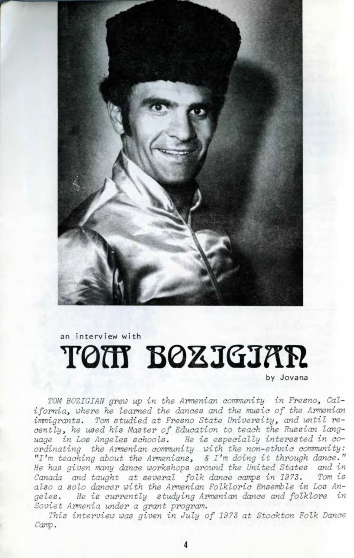

an interview wi th

# TON BOXIGIAR

by Jovana

TOM BOZIGIAN grew up in the Armenian community in Fresno, California, where he learned the dances and the music of the Armenian immigrants. Tom studied at Fresno State University, and until recently, he used his Master of Education to teach the Russian language in Los Angeles schools. He is especially interested in coordinating the Armenian community with the non-ethnic community: "I'm teaching about the Armenians, & I'm doing it through dance. " He has given many dance workshops around the United States and in Canada and taught at several folk dance camps in 1973. Tom is also a solo dancer with the Armenian Folkloric Ensemble in Los Angeles. He is currently studying Armenian dance and folklore in Soviet Armenia under a grant program.

This interview was given in July of 2973 at Stockton Folk Dance Camp.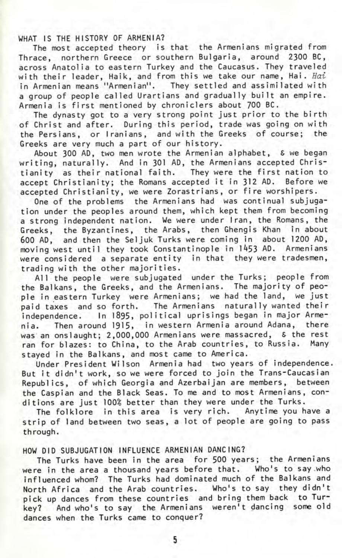WHAT IS THE HISTORY OF ARMENIA?

The most accepted theory is that the Armenians migrated from Thrace, northern Greece or southern Bulgaria, around 2300 BC, across Anatolia to eastern Turkey and the Caucasus. They traveled with their leader, Haik, and from this we take our name. Hai. Hai in Armenian means "Armenian". They settled and assimilated with a group of people called Urartians and gradually built an empire. Armenia is first mentioned by chroniclers about 700 BC.

The dynasty got to a very strong point just prior to the birth of Christ and after. During this period, trade was going on with the Persians, or Iranians, and with the Greeks of course; the Greeks are very much a part of our history.

About 300 AD, two men wrote the Armenian alphabet, S we began writing, naturally. And in 301 AD, the Armenians accepted Christianity as their national faith. They were the first nation to accept Christianity; the Romans accepted it in 312 AD. Before we accepted Christianity, we were Zorastrians, or fire worshipers.

One of the problems the Armenians had was continual subjugation under the peoples around them, which kept them from becoming a strong independent nation. We were under Iran, the Romans, the Greeks, the Byzantines, the Arabs, then Ghengis Khan in about 600 AD, and then the Seljuk Turks were coming in about 1200 AD, moving west until they took Constantinople in 1453 AD. Armenians were considered a separate entity in that they were tradesmen, trading with the other majorities.

All the people were subjugated under the Turks; people from the Balkans, the Greeks, and the Armenians. The majority of people in eastern Turkey were Armenians; we had the land, we just paid taxes and so forth. The Armenians naturally wanted their independence. In 1895, political uprisings began in major Armenia. Then around 1915, in western Armenia around Adana, there was an onslaught; 2,000,000 Armenians were massacred, & the rest ran for blazes: to China, to the Arab countries, to Russia. Many stayed in the Balkans, and most came to America.

Under President Wilson Armenia had two years of independence. But it didn't work, so we were forced to join the Trans-Caucasian Republics, of which Georgia and Azerbaijan are members, between the Caspian and the Black Seas. To me and to most Armenians, conditions are just 100% better than they were under the Turks.

The folklore in this area is very rich. Anytime you have a strip of land between two seas, a lot of people are going to pass through.

### HOW DID SUBJUGATION INFLUENCE ARMENIAN DANCING?

The Turks have been in the area for 500 years; the Armenians were in the area a thousand years before that. Who's to say .who influenced whom? The Turks had dominated much of the Balkans and North Africa and the Arab countries. Who's to say they didn't pick up dances from these countries and bring them back to Turkey? And who's to say the Armenians weren't dancing some old dances when the Turks came to conquer?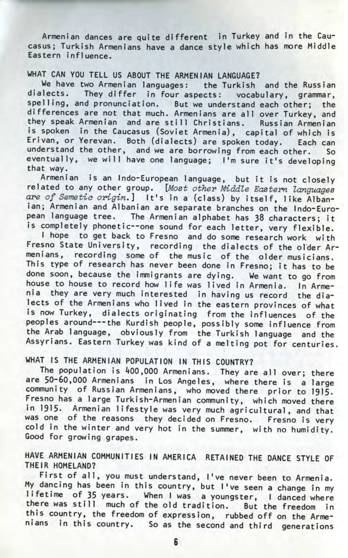Armenian dances are quite different in Turkey and in the Caucasus; Turkish Armenians have a dance style which has more Middle Eastern influence.

#### WHAT CAN YOU TELL US ABOUT THE ARMENIAN LANGUAGE?

We have two Armenian languages: the Turkish and the Russian dialects. They differ in four aspects: vocabulary, grammar, spelling, and pronunciation. But we understand each other; the differences are not that much. Armenians are all over Turkey, and they speak Armenian and are still Christians. Russian Armenian is spoken in the Caucasus (Soviet Armenia), capital of which is Erivan, or Yerevan. Both (dialects) are spoken today. Each can understand the other, and we are borrowing from each other. So eventually, we will have one language; I'm sure it's developing that way.

Armenian is an Indo-European language, but it is not closely related to any other group. [Most other Middle Eastern Languages are of Semetio origin.] It's in a (class) by itself, lik e Albanian; Armenian and Albanian are separate branches on the Indo-European language tree. The Armenian alphabet has 38 characters; it is completely phonetic--one sound for each letter, very flexible.

I hope to get back to Fresno and do some research work with Fresno State University, recording the dialects of the older Armenians, recording some of the music of the older musicians. This type of research has never been done in Fresno; it has to be done soon, because the immigrants are dying. We want to go from house to house to record how life was lived in Armenia. In Armenia they are very much interested in having us record the dialects of the Armenians who lived in the eastern provinces of what is now Turkey, dialects originating from the influences of the peoples around---the Kurdish people, possibly some influence from the Arab language, obviously from the Turkish language and the Assyrians. Eastern Turkey was kind of a melting pot for centuries.

# WHAT IS THE ARMENIAN POPULATION IN THIS COUNTRY?

The population is 400,000 Armenians. They are all over; there are 50-60,000 Armenians in Los Angeles, where there is a large community of Russian Armenians, who moved there prior to 1915- Fresno has a large Turkish-Armenian community, which moved there in 1915. Armenian lifestyle was very much agricultural, and that was one of the reasons they decided on Fresno. Fresno is very cold in the winter and very hot in the summer, with no humidity. Good for growing grapes.

## HAVE ARMENIAN COMMUNITIES IN AMERICA RETAINED THE DANCE STYLE OF THEIR HOMELAND?

First of all, you must understand, I've never been to Armenia. My dancing has been in this country, but I've seen a change in my lifetime of 35 years. When I was a youngster, I danced where there was still much of the old tradition. But the freedom in this country, the freedom of expression, rubbed off on the Armenians in this country. So as the second and third generations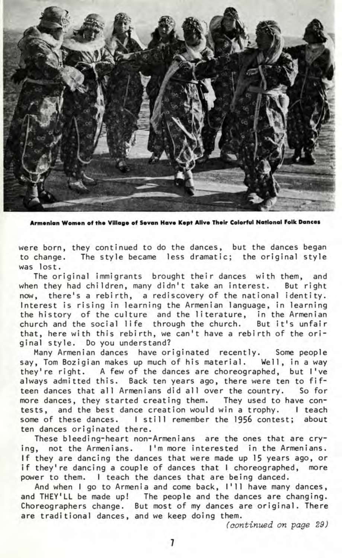

**Armenian Women of the Village of Sevan Have Kept Alive Their Colorful National Folk Dances**

were born, they continued to do the dances, but the dances began to change. The style became less dramatic; the original style was lost.

The original immigrants brought their dances with them, and when they had children, many didn't take an interest. But right now, there's a rebirth, a rediscovery of the national identity. Interest is rising in learning the Armenian language, in learning the history of the culture and the literature, in the Armenian church and the social life through the church. But it's unfair that, here with this rebirth, we can't have a rebirth of the original style. Do you understand?

Many Armenian dances have originated recently. Some people say, Tom Bozigian makes up much of his material. Well, in a way they're right. A few of the dances are choreographed, but I've always admitted this. Back ten years ago, there were ten to fifteen dances that all Armenians did all over the country. So for more dances, they started creating them. They used to have contests, and the best dance creation would win a trophy. I teach some of these dances. I still remember the 1956 contest; about ten dances originated there.

These bleeding-heart non-Armenians are the ones that are crying, not the Armenians. I'm more interested in the Armenians. If they are dancing the dances that were made up 15 years ago, or if they're dancing a couple of dances that I choreographed, more power to them. I teach the dances that are being danced.

And when I go to Armenia and come back, I'll have many dances, and THEY'LL be made up! The people and the dances are changing. Choreographers change. But most of my dances are original. There are traditional dances, and we keep doing them.

(continued on page 29)